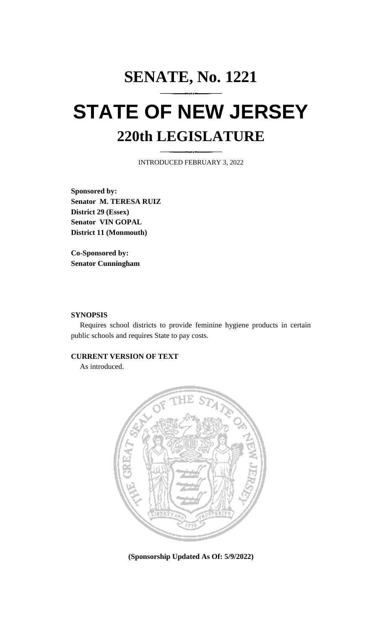## **SENATE, No. 1221 STATE OF NEW JERSEY 220th LEGISLATURE**

INTRODUCED FEBRUARY 3, 2022

**Sponsored by: Senator M. TERESA RUIZ District 29 (Essex) Senator VIN GOPAL District 11 (Monmouth)**

**Co-Sponsored by: Senator Cunningham**

## **SYNOPSIS**

Requires school districts to provide feminine hygiene products in certain public schools and requires State to pay costs.

## **CURRENT VERSION OF TEXT**

As introduced.



**(Sponsorship Updated As Of: 5/9/2022)**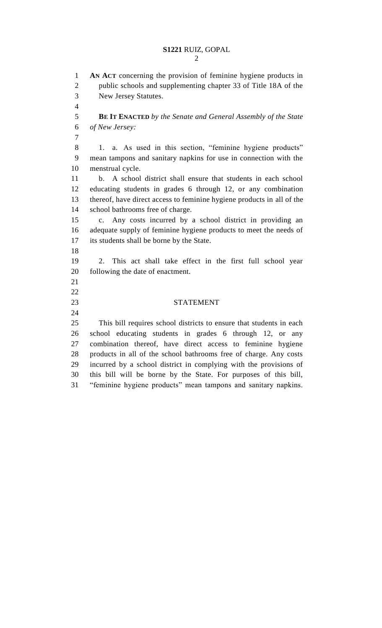## **S1221** RUIZ, GOPAL

 **AN ACT** concerning the provision of feminine hygiene products in public schools and supplementing chapter 33 of Title 18A of the New Jersey Statutes. **BE IT ENACTED** *by the Senate and General Assembly of the State of New Jersey:* 1. a. As used in this section, "feminine hygiene products" mean tampons and sanitary napkins for use in connection with the menstrual cycle. b. A school district shall ensure that students in each school educating students in grades 6 through 12, or any combination thereof, have direct access to feminine hygiene products in all of the school bathrooms free of charge. c. Any costs incurred by a school district in providing an adequate supply of feminine hygiene products to meet the needs of its students shall be borne by the State. 2. This act shall take effect in the first full school year following the date of enactment. STATEMENT This bill requires school districts to ensure that students in each school educating students in grades 6 through 12, or any combination thereof, have direct access to feminine hygiene products in all of the school bathrooms free of charge. Any costs incurred by a school district in complying with the provisions of this bill will be borne by the State. For purposes of this bill, "feminine hygiene products" mean tampons and sanitary napkins.